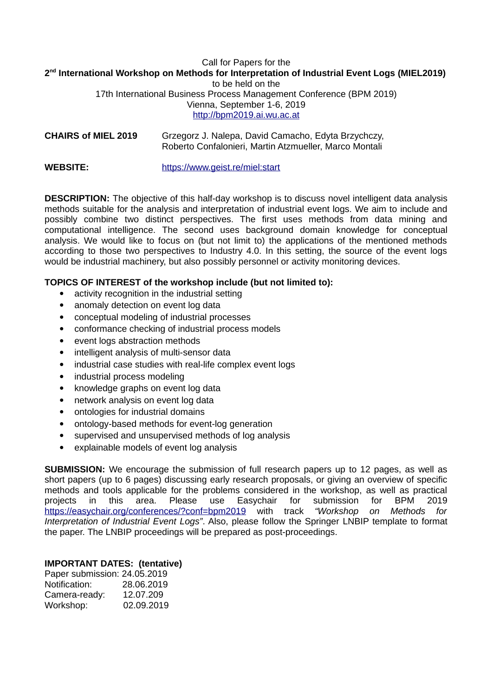## Call for Papers for the **2 nd International Workshop on Methods for Interpretation of Industrial Event Logs (MIEL2019)** to be held on the 17th International Business Process Management Conference (BPM 2019) Vienna, September 1-6, 2019 [http://bpm2019.ai.wu.ac.at](http://bpm2019.ai.wu.ac.at/)

**CHAIRS of MIEL 2019** Grzegorz J. Nalepa, David Camacho, Edyta Brzychczy, Roberto Confalonieri, Martin Atzmueller, Marco Montali

**WEBSITE:** https://www.geist.re/miel:start

**DESCRIPTION:** The objective of this half-day workshop is to discuss novel intelligent data analysis methods suitable for the analysis and interpretation of industrial event logs. We aim to include and possibly combine two distinct perspectives. The first uses methods from data mining and computational intelligence. The second uses background domain knowledge for conceptual analysis. We would like to focus on (but not limit to) the applications of the mentioned methods according to those two perspectives to Industry 4.0. In this setting, the source of the event logs would be industrial machinery, but also possibly personnel or activity monitoring devices.

## **TOPICS OF INTEREST of the workshop include (but not limited to):**

- activity recognition in the industrial setting
- anomaly detection on event log data
- conceptual modeling of industrial processes
- conformance checking of industrial process models
- event logs abstraction methods
- intelligent analysis of multi-sensor data
- industrial case studies with real-life complex event logs
- industrial process modeling
- knowledge graphs on event log data
- network analysis on event log data
- ontologies for industrial domains
- ontology-based methods for event-log generation
- supervised and unsupervised methods of log analysis
- explainable models of event log analysis

**SUBMISSION:** We encourage the submission of full research papers up to 12 pages, as well as short papers (up to 6 pages) discussing early research proposals, or giving an overview of specific methods and tools applicable for the problems considered in the workshop, as well as practical projects in this area. Please use Easychair for submission for BPM 2019 <https://easychair.org/conferences/?conf=bpm2019>with track *"Workshop on Methods for Interpretation of Industrial Event Logs"*. Also, please follow the Springer LNBIP template to format the paper. The LNBIP proceedings will be prepared as post-proceedings.

## **IMPORTANT DATES: (tentative)**

| Paper submission: 24.05.2019 |            |
|------------------------------|------------|
| Notification:                | 28.06.2019 |
| Camera-ready:                | 12.07.209  |
| Workshop:                    | 02.09.2019 |